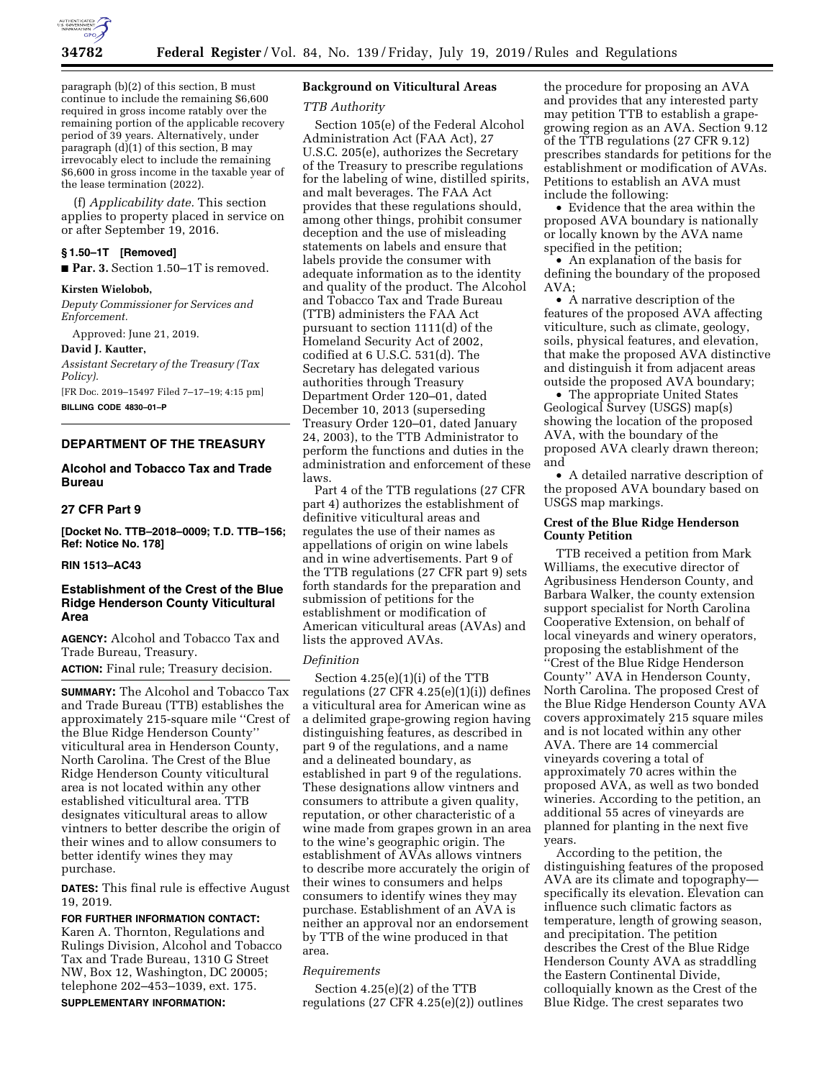

paragraph (b)(2) of this section, B must continue to include the remaining \$6,600 required in gross income ratably over the remaining portion of the applicable recovery period of 39 years. Alternatively, under paragraph (d)(1) of this section, B may irrevocably elect to include the remaining \$6,600 in gross income in the taxable year of the lease termination (2022).

(f) *Applicability date.* This section applies to property placed in service on or after September 19, 2016.

# **§ 1.50–1T [Removed]**

■ **Par. 3.** Section 1.50–1T is removed.

#### **Kirsten Wielobob,**

*Deputy Commissioner for Services and Enforcement.* 

Approved: June 21, 2019.

**David J. Kautter,** 

*Assistant Secretary of the Treasury (Tax Policy).* 

[FR Doc. 2019–15497 Filed 7–17–19; 4:15 pm] **BILLING CODE 4830–01–P** 

# **DEPARTMENT OF THE TREASURY**

**Alcohol and Tobacco Tax and Trade Bureau** 

## **27 CFR Part 9**

**[Docket No. TTB–2018–0009; T.D. TTB–156; Ref: Notice No. 178]** 

#### **RIN 1513–AC43**

## **Establishment of the Crest of the Blue Ridge Henderson County Viticultural Area**

**AGENCY:** Alcohol and Tobacco Tax and Trade Bureau, Treasury.

**ACTION:** Final rule; Treasury decision.

**SUMMARY:** The Alcohol and Tobacco Tax and Trade Bureau (TTB) establishes the approximately 215-square mile ''Crest of the Blue Ridge Henderson County'' viticultural area in Henderson County, North Carolina. The Crest of the Blue Ridge Henderson County viticultural area is not located within any other established viticultural area. TTB designates viticultural areas to allow vintners to better describe the origin of their wines and to allow consumers to better identify wines they may purchase.

**DATES:** This final rule is effective August 19, 2019.

**FOR FURTHER INFORMATION CONTACT:**  Karen A. Thornton, Regulations and Rulings Division, Alcohol and Tobacco Tax and Trade Bureau, 1310 G Street NW, Box 12, Washington, DC 20005; telephone 202–453–1039, ext. 175. **SUPPLEMENTARY INFORMATION:** 

## **Background on Viticultural Areas**

#### *TTB Authority*

Section 105(e) of the Federal Alcohol Administration Act (FAA Act), 27 U.S.C. 205(e), authorizes the Secretary of the Treasury to prescribe regulations for the labeling of wine, distilled spirits, and malt beverages. The FAA Act provides that these regulations should, among other things, prohibit consumer deception and the use of misleading statements on labels and ensure that labels provide the consumer with adequate information as to the identity and quality of the product. The Alcohol and Tobacco Tax and Trade Bureau (TTB) administers the FAA Act pursuant to section 1111(d) of the Homeland Security Act of 2002, codified at 6 U.S.C. 531(d). The Secretary has delegated various authorities through Treasury Department Order 120–01, dated December 10, 2013 (superseding Treasury Order 120–01, dated January 24, 2003), to the TTB Administrator to perform the functions and duties in the administration and enforcement of these laws.

Part 4 of the TTB regulations (27 CFR part 4) authorizes the establishment of definitive viticultural areas and regulates the use of their names as appellations of origin on wine labels and in wine advertisements. Part 9 of the TTB regulations (27 CFR part 9) sets forth standards for the preparation and submission of petitions for the establishment or modification of American viticultural areas (AVAs) and lists the approved AVAs.

#### *Definition*

Section 4.25(e)(1)(i) of the TTB regulations  $(27 \text{ CFR } 4.25(e)(1)(i))$  defines a viticultural area for American wine as a delimited grape-growing region having distinguishing features, as described in part 9 of the regulations, and a name and a delineated boundary, as established in part 9 of the regulations. These designations allow vintners and consumers to attribute a given quality, reputation, or other characteristic of a wine made from grapes grown in an area to the wine's geographic origin. The establishment of AVAs allows vintners to describe more accurately the origin of their wines to consumers and helps consumers to identify wines they may purchase. Establishment of an AVA is neither an approval nor an endorsement by TTB of the wine produced in that area.

#### *Requirements*

Section 4.25(e)(2) of the TTB regulations (27 CFR 4.25(e)(2)) outlines

the procedure for proposing an AVA and provides that any interested party may petition TTB to establish a grapegrowing region as an AVA. Section 9.12 of the TTB regulations (27 CFR 9.12) prescribes standards for petitions for the establishment or modification of AVAs. Petitions to establish an AVA must include the following:

• Evidence that the area within the proposed AVA boundary is nationally or locally known by the AVA name specified in the petition;

• An explanation of the basis for defining the boundary of the proposed AVA;

• A narrative description of the features of the proposed AVA affecting viticulture, such as climate, geology, soils, physical features, and elevation, that make the proposed AVA distinctive and distinguish it from adjacent areas outside the proposed AVA boundary;

• The appropriate United States Geological Survey (USGS) map(s) showing the location of the proposed AVA, with the boundary of the proposed AVA clearly drawn thereon; and

• A detailed narrative description of the proposed AVA boundary based on USGS map markings.

# **Crest of the Blue Ridge Henderson County Petition**

TTB received a petition from Mark Williams, the executive director of Agribusiness Henderson County, and Barbara Walker, the county extension support specialist for North Carolina Cooperative Extension, on behalf of local vineyards and winery operators, proposing the establishment of the ''Crest of the Blue Ridge Henderson County'' AVA in Henderson County, North Carolina. The proposed Crest of the Blue Ridge Henderson County AVA covers approximately 215 square miles and is not located within any other AVA. There are 14 commercial vineyards covering a total of approximately 70 acres within the proposed AVA, as well as two bonded wineries. According to the petition, an additional 55 acres of vineyards are planned for planting in the next five years.

According to the petition, the distinguishing features of the proposed AVA are its climate and topography specifically its elevation. Elevation can influence such climatic factors as temperature, length of growing season, and precipitation. The petition describes the Crest of the Blue Ridge Henderson County AVA as straddling the Eastern Continental Divide, colloquially known as the Crest of the Blue Ridge. The crest separates two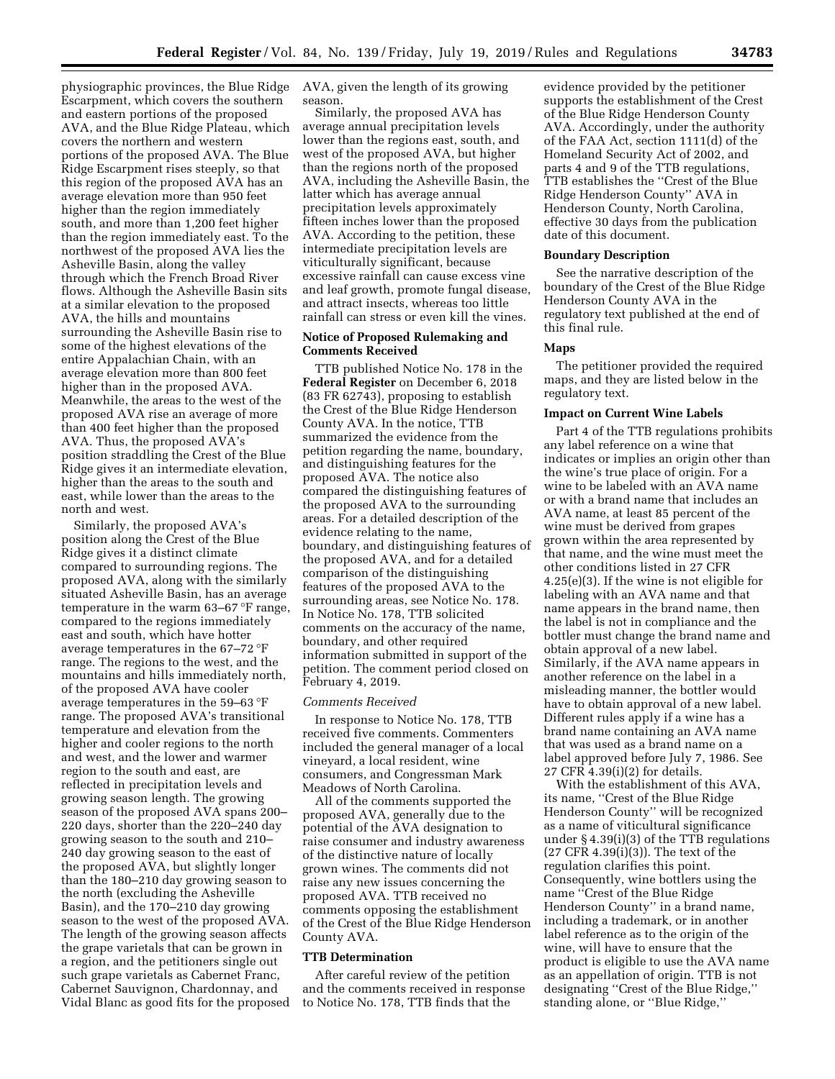physiographic provinces, the Blue Ridge Escarpment, which covers the southern and eastern portions of the proposed AVA, and the Blue Ridge Plateau, which covers the northern and western portions of the proposed AVA. The Blue Ridge Escarpment rises steeply, so that this region of the proposed AVA has an average elevation more than 950 feet higher than the region immediately south, and more than 1,200 feet higher than the region immediately east. To the northwest of the proposed AVA lies the Asheville Basin, along the valley through which the French Broad River flows. Although the Asheville Basin sits at a similar elevation to the proposed AVA, the hills and mountains surrounding the Asheville Basin rise to some of the highest elevations of the entire Appalachian Chain, with an average elevation more than 800 feet higher than in the proposed AVA. Meanwhile, the areas to the west of the proposed AVA rise an average of more than 400 feet higher than the proposed AVA. Thus, the proposed AVA's position straddling the Crest of the Blue Ridge gives it an intermediate elevation, higher than the areas to the south and east, while lower than the areas to the north and west.

Similarly, the proposed AVA's position along the Crest of the Blue Ridge gives it a distinct climate compared to surrounding regions. The proposed AVA, along with the similarly situated Asheville Basin, has an average temperature in the warm 63–67 °F range, compared to the regions immediately east and south, which have hotter average temperatures in the 67–72 °F range. The regions to the west, and the mountains and hills immediately north, of the proposed AVA have cooler average temperatures in the 59–63 °F range. The proposed AVA's transitional temperature and elevation from the higher and cooler regions to the north and west, and the lower and warmer region to the south and east, are reflected in precipitation levels and growing season length. The growing season of the proposed AVA spans 200– 220 days, shorter than the 220–240 day growing season to the south and 210– 240 day growing season to the east of the proposed AVA, but slightly longer than the 180–210 day growing season to the north (excluding the Asheville Basin), and the 170–210 day growing season to the west of the proposed AVA. The length of the growing season affects the grape varietals that can be grown in a region, and the petitioners single out such grape varietals as Cabernet Franc, Cabernet Sauvignon, Chardonnay, and Vidal Blanc as good fits for the proposed

AVA, given the length of its growing season.

Similarly, the proposed AVA has average annual precipitation levels lower than the regions east, south, and west of the proposed AVA, but higher than the regions north of the proposed AVA, including the Asheville Basin, the latter which has average annual precipitation levels approximately fifteen inches lower than the proposed AVA. According to the petition, these intermediate precipitation levels are viticulturally significant, because excessive rainfall can cause excess vine and leaf growth, promote fungal disease, and attract insects, whereas too little rainfall can stress or even kill the vines.

## **Notice of Proposed Rulemaking and Comments Received**

TTB published Notice No. 178 in the **Federal Register** on December 6, 2018 (83 FR 62743), proposing to establish the Crest of the Blue Ridge Henderson County AVA. In the notice, TTB summarized the evidence from the petition regarding the name, boundary, and distinguishing features for the proposed AVA. The notice also compared the distinguishing features of the proposed AVA to the surrounding areas. For a detailed description of the evidence relating to the name, boundary, and distinguishing features of the proposed AVA, and for a detailed comparison of the distinguishing features of the proposed AVA to the surrounding areas, see Notice No. 178. In Notice No. 178, TTB solicited comments on the accuracy of the name, boundary, and other required information submitted in support of the petition. The comment period closed on February 4, 2019.

### *Comments Received*

In response to Notice No. 178, TTB received five comments. Commenters included the general manager of a local vineyard, a local resident, wine consumers, and Congressman Mark Meadows of North Carolina.

All of the comments supported the proposed AVA, generally due to the potential of the AVA designation to raise consumer and industry awareness of the distinctive nature of locally grown wines. The comments did not raise any new issues concerning the proposed AVA. TTB received no comments opposing the establishment of the Crest of the Blue Ridge Henderson County AVA.

### **TTB Determination**

After careful review of the petition and the comments received in response to Notice No. 178, TTB finds that the

evidence provided by the petitioner supports the establishment of the Crest of the Blue Ridge Henderson County AVA. Accordingly, under the authority of the FAA Act, section 1111(d) of the Homeland Security Act of 2002, and parts 4 and 9 of the TTB regulations, TTB establishes the ''Crest of the Blue Ridge Henderson County'' AVA in Henderson County, North Carolina, effective 30 days from the publication date of this document.

### **Boundary Description**

See the narrative description of the boundary of the Crest of the Blue Ridge Henderson County AVA in the regulatory text published at the end of this final rule.

#### **Maps**

The petitioner provided the required maps, and they are listed below in the regulatory text.

#### **Impact on Current Wine Labels**

Part 4 of the TTB regulations prohibits any label reference on a wine that indicates or implies an origin other than the wine's true place of origin. For a wine to be labeled with an AVA name or with a brand name that includes an AVA name, at least 85 percent of the wine must be derived from grapes grown within the area represented by that name, and the wine must meet the other conditions listed in 27 CFR 4.25(e)(3). If the wine is not eligible for labeling with an AVA name and that name appears in the brand name, then the label is not in compliance and the bottler must change the brand name and obtain approval of a new label. Similarly, if the AVA name appears in another reference on the label in a misleading manner, the bottler would have to obtain approval of a new label. Different rules apply if a wine has a brand name containing an AVA name that was used as a brand name on a label approved before July 7, 1986. See 27 CFR 4.39(i)(2) for details.

With the establishment of this AVA, its name, ''Crest of the Blue Ridge Henderson County'' will be recognized as a name of viticultural significance under § 4.39(i)(3) of the TTB regulations (27 CFR 4.39(i)(3)). The text of the regulation clarifies this point. Consequently, wine bottlers using the name ''Crest of the Blue Ridge Henderson County'' in a brand name, including a trademark, or in another label reference as to the origin of the wine, will have to ensure that the product is eligible to use the AVA name as an appellation of origin. TTB is not designating ''Crest of the Blue Ridge,'' standing alone, or ''Blue Ridge,''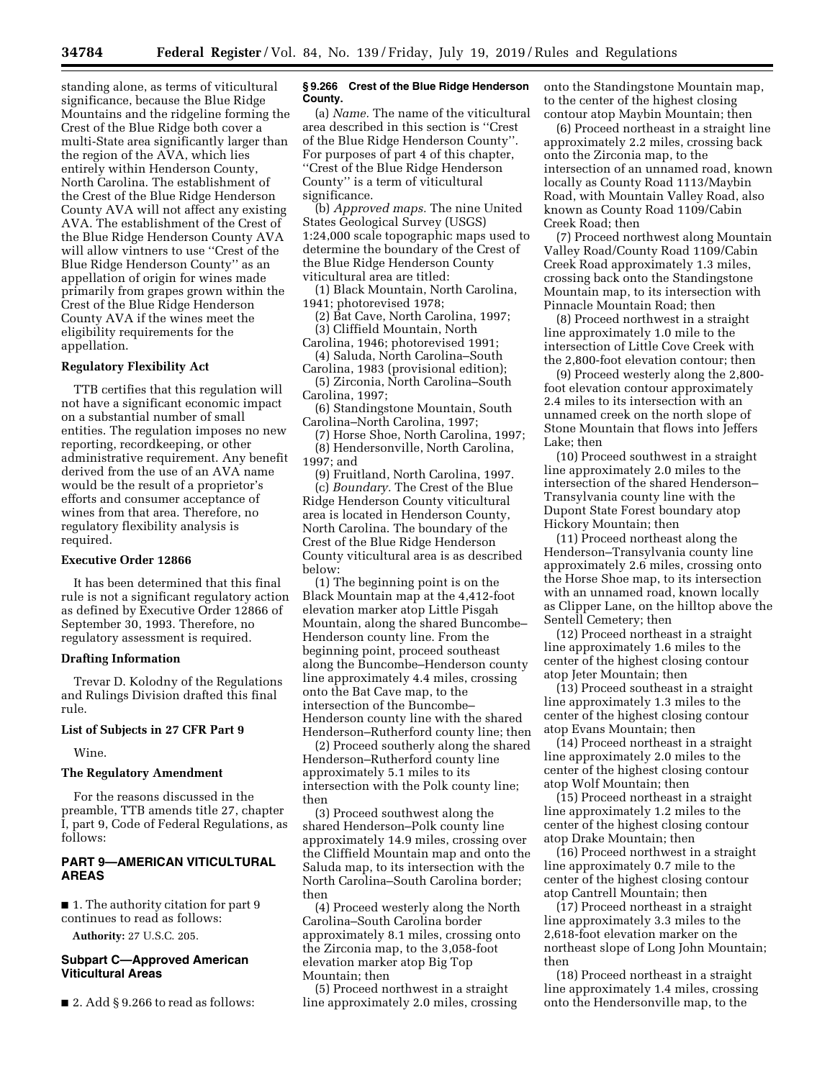standing alone, as terms of viticultural significance, because the Blue Ridge Mountains and the ridgeline forming the Crest of the Blue Ridge both cover a multi-State area significantly larger than the region of the AVA, which lies entirely within Henderson County, North Carolina. The establishment of the Crest of the Blue Ridge Henderson County AVA will not affect any existing AVA. The establishment of the Crest of the Blue Ridge Henderson County AVA will allow vintners to use ''Crest of the Blue Ridge Henderson County'' as an appellation of origin for wines made primarily from grapes grown within the Crest of the Blue Ridge Henderson County AVA if the wines meet the eligibility requirements for the appellation.

# **Regulatory Flexibility Act**

TTB certifies that this regulation will not have a significant economic impact on a substantial number of small entities. The regulation imposes no new reporting, recordkeeping, or other administrative requirement. Any benefit derived from the use of an AVA name would be the result of a proprietor's efforts and consumer acceptance of wines from that area. Therefore, no regulatory flexibility analysis is required.

### **Executive Order 12866**

It has been determined that this final rule is not a significant regulatory action as defined by Executive Order 12866 of September 30, 1993. Therefore, no regulatory assessment is required.

### **Drafting Information**

Trevar D. Kolodny of the Regulations and Rulings Division drafted this final rule.

### **List of Subjects in 27 CFR Part 9**

Wine.

### **The Regulatory Amendment**

For the reasons discussed in the preamble, TTB amends title 27, chapter I, part 9, Code of Federal Regulations, as follows:

## **PART 9—AMERICAN VITICULTURAL AREAS**

■ 1. The authority citation for part 9 continues to read as follows:

**Authority:** 27 U.S.C. 205.

### **Subpart C—Approved American Viticultural Areas**

 $\blacksquare$  2. Add § 9.266 to read as follows:

### **§ 9.266 Crest of the Blue Ridge Henderson County.**

(a) *Name.* The name of the viticultural area described in this section is ''Crest of the Blue Ridge Henderson County''. For purposes of part 4 of this chapter, ''Crest of the Blue Ridge Henderson County'' is a term of viticultural significance.

(b) *Approved maps.* The nine United States Geological Survey (USGS) 1:24,000 scale topographic maps used to determine the boundary of the Crest of the Blue Ridge Henderson County viticultural area are titled:

(1) Black Mountain, North Carolina, 1941; photorevised 1978;

(2) Bat Cave, North Carolina, 1997; (3) Cliffield Mountain, North

Carolina, 1946; photorevised 1991;

(4) Saluda, North Carolina–South Carolina, 1983 (provisional edition);

(5) Zirconia, North Carolina–South Carolina, 1997;

(6) Standingstone Mountain, South Carolina–North Carolina, 1997;

(7) Horse Shoe, North Carolina, 1997; (8) Hendersonville, North Carolina, 1997; and

(9) Fruitland, North Carolina, 1997. (c) *Boundary.* The Crest of the Blue Ridge Henderson County viticultural area is located in Henderson County, North Carolina. The boundary of the Crest of the Blue Ridge Henderson County viticultural area is as described below:

(1) The beginning point is on the Black Mountain map at the 4,412-foot elevation marker atop Little Pisgah Mountain, along the shared Buncombe– Henderson county line. From the beginning point, proceed southeast along the Buncombe–Henderson county line approximately 4.4 miles, crossing onto the Bat Cave map, to the intersection of the Buncombe– Henderson county line with the shared Henderson–Rutherford county line; then

(2) Proceed southerly along the shared Henderson–Rutherford county line approximately 5.1 miles to its intersection with the Polk county line; then

(3) Proceed southwest along the shared Henderson–Polk county line approximately 14.9 miles, crossing over the Cliffield Mountain map and onto the Saluda map, to its intersection with the North Carolina–South Carolina border; then

(4) Proceed westerly along the North Carolina–South Carolina border approximately 8.1 miles, crossing onto the Zirconia map, to the 3,058-foot elevation marker atop Big Top Mountain; then

(5) Proceed northwest in a straight line approximately 2.0 miles, crossing onto the Standingstone Mountain map, to the center of the highest closing contour atop Maybin Mountain; then

(6) Proceed northeast in a straight line approximately 2.2 miles, crossing back onto the Zirconia map, to the intersection of an unnamed road, known locally as County Road 1113/Maybin Road, with Mountain Valley Road, also known as County Road 1109/Cabin Creek Road; then

(7) Proceed northwest along Mountain Valley Road/County Road 1109/Cabin Creek Road approximately 1.3 miles, crossing back onto the Standingstone Mountain map, to its intersection with Pinnacle Mountain Road; then

(8) Proceed northwest in a straight line approximately 1.0 mile to the intersection of Little Cove Creek with the 2,800-foot elevation contour; then

(9) Proceed westerly along the 2,800 foot elevation contour approximately 2.4 miles to its intersection with an unnamed creek on the north slope of Stone Mountain that flows into Jeffers Lake; then

(10) Proceed southwest in a straight line approximately 2.0 miles to the intersection of the shared Henderson– Transylvania county line with the Dupont State Forest boundary atop Hickory Mountain; then

(11) Proceed northeast along the Henderson–Transylvania county line approximately 2.6 miles, crossing onto the Horse Shoe map, to its intersection with an unnamed road, known locally as Clipper Lane, on the hilltop above the Sentell Cemetery; then

(12) Proceed northeast in a straight line approximately 1.6 miles to the center of the highest closing contour atop Jeter Mountain; then

(13) Proceed southeast in a straight line approximately 1.3 miles to the center of the highest closing contour atop Evans Mountain; then

(14) Proceed northeast in a straight line approximately 2.0 miles to the center of the highest closing contour atop Wolf Mountain; then

(15) Proceed northeast in a straight line approximately 1.2 miles to the center of the highest closing contour atop Drake Mountain; then

(16) Proceed northwest in a straight line approximately 0.7 mile to the center of the highest closing contour atop Cantrell Mountain; then

(17) Proceed northeast in a straight line approximately 3.3 miles to the 2,618-foot elevation marker on the northeast slope of Long John Mountain; then

(18) Proceed northeast in a straight line approximately 1.4 miles, crossing onto the Hendersonville map, to the